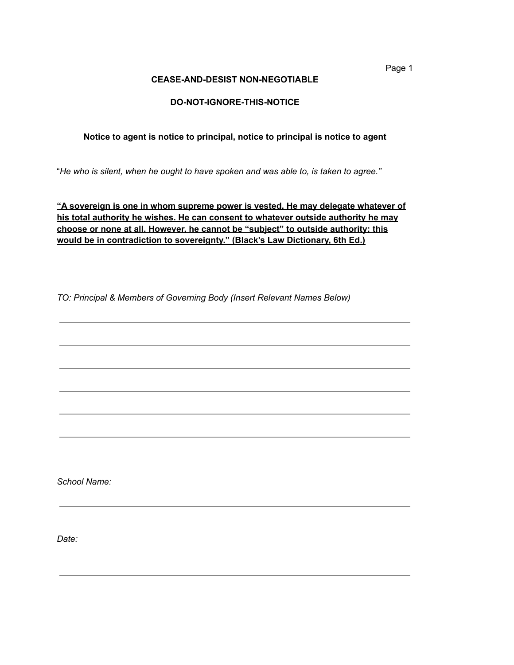**CEASE-AND-DESIST NON-NEGOTIABLE**

# **DO-NOT-IGNORE-THIS-NOTICE**

# **Notice to agent is notice to principal, notice to principal is notice to agent**

"*He who is silent, when he ought to have spoken and was able to, is taken to agree."*

**"A sovereign is one in whom supreme power is vested. He may delegate whatever of his total authority he wishes. He can consent to whatever outside authority he may choose or none at all. However, he cannot be "subject" to outside authority; this would be in contradiction to sovereignty." (Black's Law Dictionary, 6th Ed.)**

*TO: Principal & Members of Governing Body (Insert Relevant Names Below)*

*School Name:*

*Date:*

Page 1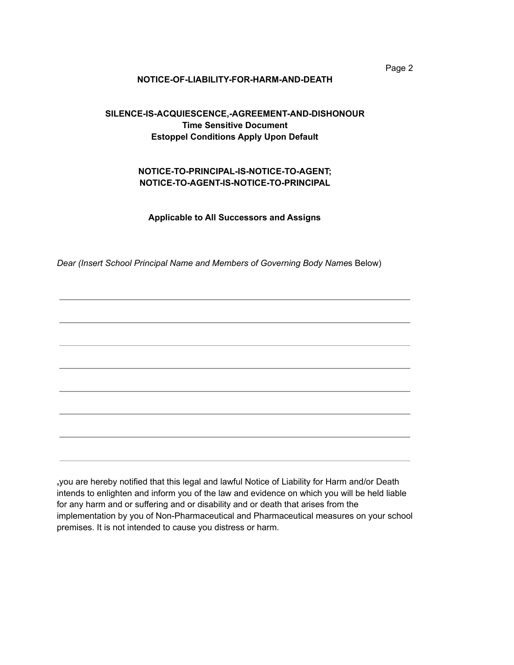#### **NOTICE-OF-LIABILITY-FOR-HARM-AND-DEATH**

# **SILENCE-IS-ACQUIESCENCE,-AGREEMENT-AND-DISHONOUR Time Sensitive Document Estoppel Conditions Apply Upon Default**

## **NOTICE-TO-PRINCIPAL-IS-NOTICE-TO-AGENT; NOTICE-TO-AGENT-IS-NOTICE-TO-PRINCIPAL**

**Applicable to All Successors and Assigns**

*Dear (Insert School Principal Name and Members of Governing Body Name*s Below)

**,**you are hereby notified that this legal and lawful Notice of Liability for Harm and/or Death intends to enlighten and inform you of the law and evidence on which you will be held liable for any harm and or suffering and or disability and or death that arises from the implementation by you of Non-Pharmaceutical and Pharmaceutical measures on your school premises. It is not intended to cause you distress or harm.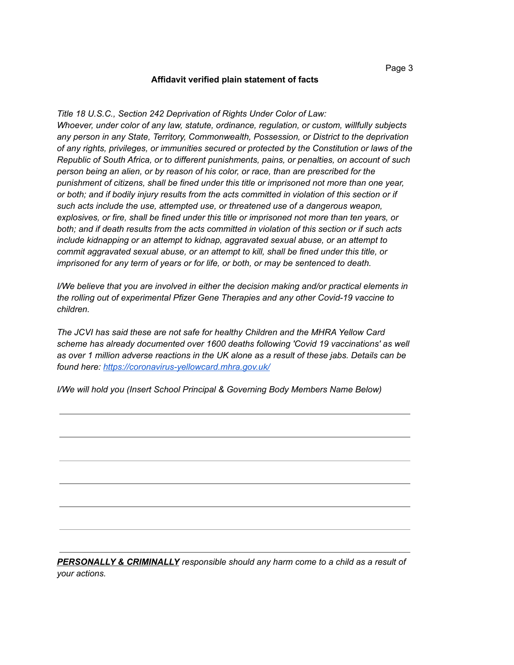*Title 18 U.S.C., Section 242 Deprivation of Rights Under Color of Law: Whoever, under color of any law, statute, ordinance, regulation, or custom, willfully subjects any person in any State, Territory, Commonwealth, Possession, or District to the deprivation of any rights, privileges, or immunities secured or protected by the Constitution or laws of the Republic of South Africa, or to different punishments, pains, or penalties, on account of such person being an alien, or by reason of his color, or race, than are prescribed for the punishment of citizens, shall be fined under this title or imprisoned not more than one year, or both; and if bodily injury results from the acts committed in violation of this section or if such acts include the use, attempted use, or threatened use of a dangerous weapon, explosives, or fire, shall be fined under this title or imprisoned not more than ten years, or both; and if death results from the acts committed in violation of this section or if such acts include kidnapping or an attempt to kidnap, aggravated sexual abuse, or an attempt to commit aggravated sexual abuse, or an attempt to kill, shall be fined under this title, or imprisoned for any term of years or for life, or both, or may be sentenced to death.*

*I/We believe that you are involved in either the decision making and/or practical elements in the rolling out of experimental Pfizer Gene Therapies and any other Covid-19 vaccine to children.*

*The JCVI has said these are not safe for healthy Children and the MHRA Yellow Card scheme has already [documented](https://coronavirus-yellowcard.mhra.gov.uk/) over 1600 deaths following 'Covid 19 vaccinations' as well* as over 1 million adverse reactions in the UK alone as a result of these jabs. Details can be *found here: https://coronavirus-yellowcard.mhra.gov.uk/*

*I/We will hold you (Insert School Principal & Governing Body Members Name Below)*

*PERSONALLY & CRIMINALLY responsible should any harm come to a child as a result of your actions.*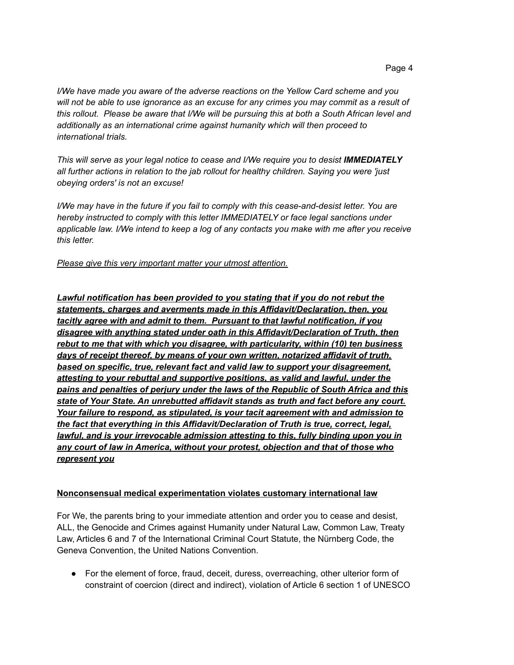*I/We have made you aware of the adverse reactions on the Yellow Card scheme and you* will not be able to use ignorance as an excuse for any crimes you may commit as a result of *this rollout. Please be aware that I/We will be pursuing this at both a South African level and additionally as an international crime against humanity which will then proceed to international trials.*

*This will serve as your legal notice to cease and I/We require you to desist IMMEDIATELY all further actions in relation to the jab rollout for healthy children. Saying you were 'just obeying orders' is not an excuse!*

*I/We may have in the future if you fail to comply with this cease-and-desist letter. You are hereby instructed to comply with this letter IMMEDIATELY or face legal sanctions under applicable law. I/We intend to keep a log of any contacts you make with me after you receive this letter.*

*Please give this very important matter your utmost attention.*

*Lawful notification has been provided to you stating that if you do not rebut the statements, charges and averments made in this Affidavit/Declaration, then, you tacitly agree with and admit to them. Pursuant to that lawful notification, if you disagree with anything stated under oath in this Affidavit/Declaration of Truth, then rebut to me that with which you disagree, with particularity, within (10) ten business days of receipt thereof, by means of your own written, notarized affidavit of truth, based on specific, true, relevant fact and valid law to support your disagreement, attesting to your rebuttal and supportive positions, as valid and lawful, under the pains and penalties of perjury under the laws of the Republic of South Africa and this state of Your State. An unrebutted affidavit stands as truth and fact before any court. Your failure to respond, as stipulated, is your tacit agreement with and admission to the fact that everything in this Affidavit/Declaration of Truth is true, correct, legal, lawful, and is your irrevocable admission attesting to this, fully binding upon you in any court of law in America, without your protest, objection and that of those who represent you*

## **Nonconsensual medical experimentation violates customary international law**

For We, the parents bring to your immediate attention and order you to cease and desist, ALL, the Genocide and Crimes against Humanity under Natural Law, Common Law, Treaty Law, Articles 6 and 7 of the International Criminal Court Statute, the Nürnberg Code, the Geneva Convention, the United Nations Convention.

• For the element of force, fraud, deceit, duress, overreaching, other ulterior form of constraint of coercion (direct and indirect), violation of Article 6 section 1 of UNESCO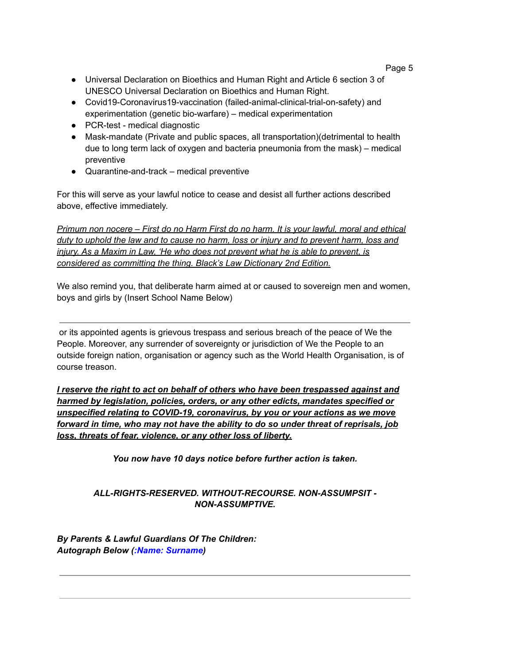- Universal Declaration on Bioethics and Human Right and Article 6 section 3 of UNESCO Universal Declaration on Bioethics and Human Right.
- Covid19-Coronavirus19-vaccination (failed-animal-clinical-trial-on-safety) and experimentation (genetic bio-warfare) – medical experimentation
- PCR-test medical diagnostic
- Mask-mandate (Private and public spaces, all transportation)(detrimental to health due to long term lack of oxygen and bacteria pneumonia from the mask) – medical preventive
- Quarantine-and-track medical preventive

For this will serve as your lawful notice to cease and desist all further actions described above, effective immediately.

*Primum non nocere – First do no Harm First do no harm. It is your lawful, moral and ethical duty to uphold the law and to cause no harm, loss or injury and to prevent harm, loss and injury. As a Maxim in Law, 'He who does not prevent what he is able to prevent, is considered as committing the thing. Black's Law Dictionary 2nd Edition.*

We also remind you, that deliberate harm aimed at or caused to sovereign men and women, boys and girls by (Insert School Name Below)

or its appointed agents is grievous trespass and serious breach of the peace of We the People. Moreover, any surrender of sovereignty or jurisdiction of We the People to an outside foreign nation, organisation or agency such as the World Health Organisation, is of course treason.

*I reserve the right to act on behalf of others who have been trespassed against and harmed by legislation, policies, orders, or any other edicts, mandates specified or unspecified relating to COVID-19, coronavirus, by you or your actions as we move forward in time, who may not have the ability to do so under threat of reprisals, job loss, threats of fear, violence, or any other loss of liberty.*

*You now have 10 days notice before further action is taken.*

# *ALL-RIGHTS-RESERVED. WITHOUT-RECOURSE. NON-ASSUMPSIT - NON-ASSUMPTIVE.*

*By Parents & Lawful Guardians Of The Children: Autograph Below (:Name: Surname)*

## Page 5